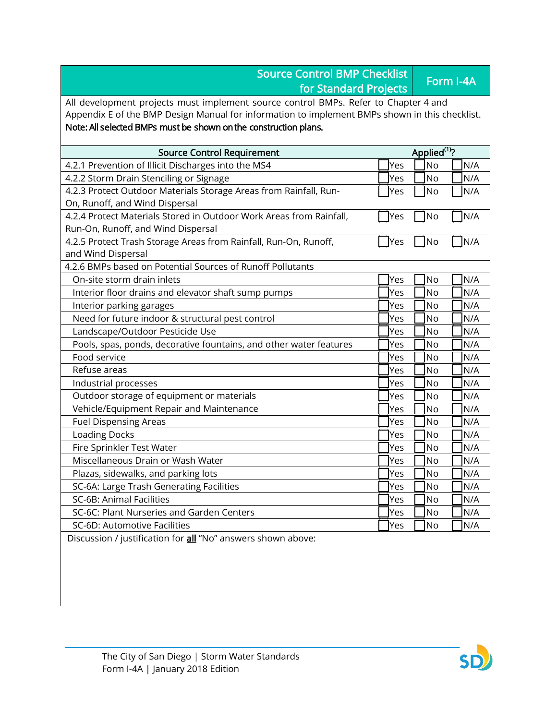| <b>Source Control BMP Checklist</b><br>for Standard Projects                                              |                          | Form I-4A |      |  |  |
|-----------------------------------------------------------------------------------------------------------|--------------------------|-----------|------|--|--|
| All development projects must implement source control BMPs. Refer to Chapter 4 and                       |                          |           |      |  |  |
| Appendix E of the BMP Design Manual for information to implement BMPs shown in this checklist.            |                          |           |      |  |  |
| Note: All selected BMPs must be shown on the construction plans.                                          |                          |           |      |  |  |
| <b>Source Control Requirement</b>                                                                         | Applied <sup>(1)</sup> ? |           |      |  |  |
| 4.2.1 Prevention of Illicit Discharges into the MS4                                                       | Yes                      | <b>No</b> | N/A  |  |  |
| 4.2.2 Storm Drain Stenciling or Signage                                                                   | Yes                      | <b>No</b> | N/A  |  |  |
| 4.2.3 Protect Outdoor Materials Storage Areas from Rainfall, Run-                                         | Yes                      | No        | N/A  |  |  |
| On, Runoff, and Wind Dispersal                                                                            |                          |           |      |  |  |
| 4.2.4 Protect Materials Stored in Outdoor Work Areas from Rainfall,<br>Run-On, Runoff, and Wind Dispersal | TYes                     | No        | ]N/A |  |  |
| 4.2.5 Protect Trash Storage Areas from Rainfall, Run-On, Runoff,<br>and Wind Dispersal                    | <b>Yes</b>               | No        | N/A  |  |  |
| 4.2.6 BMPs based on Potential Sources of Runoff Pollutants                                                |                          |           |      |  |  |
| On-site storm drain inlets                                                                                | Yes                      | <b>No</b> | N/A  |  |  |
| Interior floor drains and elevator shaft sump pumps                                                       | Yes                      | <b>No</b> | N/A  |  |  |
| Interior parking garages                                                                                  | Yes                      | No        | N/A  |  |  |
| Need for future indoor & structural pest control                                                          | Yes                      | <b>No</b> | N/A  |  |  |
| Landscape/Outdoor Pesticide Use                                                                           | Yes                      | <b>No</b> | N/A  |  |  |
| Pools, spas, ponds, decorative fountains, and other water features                                        | Yes                      | No        | N/A  |  |  |
| Food service                                                                                              | Yes                      | No        | N/A  |  |  |
| Refuse areas                                                                                              | Yes                      | <b>No</b> | N/A  |  |  |
| Industrial processes                                                                                      | Yes                      | <b>No</b> | N/A  |  |  |
| Outdoor storage of equipment or materials                                                                 | Yes                      | <b>No</b> | N/A  |  |  |
| Vehicle/Equipment Repair and Maintenance                                                                  | Yes                      | No        | N/A  |  |  |
| <b>Fuel Dispensing Areas</b>                                                                              | Yes                      | <b>No</b> | N/A  |  |  |
| Loading Docks                                                                                             | Yes                      | <b>No</b> | N/A  |  |  |
| Fire Sprinkler Test Water                                                                                 | Yes                      | No        | N/A  |  |  |
| Miscellaneous Drain or Wash Water                                                                         | Yes                      | <b>No</b> | N/A  |  |  |
| Plazas, sidewalks, and parking lots                                                                       | Yes                      | No        | N/A  |  |  |
| SC-6A: Large Trash Generating Facilities                                                                  | Yes                      | No        | N/A  |  |  |
| SC-6B: Animal Facilities                                                                                  | Yes                      | No        | N/A  |  |  |
| SC-6C: Plant Nurseries and Garden Centers                                                                 | Yes                      | No        | N/A  |  |  |
| SC-6D: Automotive Facilities                                                                              | Yes                      | No        | N/A  |  |  |
| Discussion / justification for all "No" answers shown above:                                              |                          |           |      |  |  |